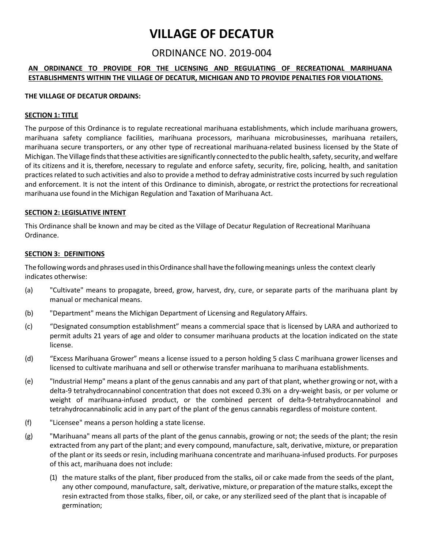# **VILLAGE OF DECATUR**

# ORDINANCE NO. 2019-004

# **AN ORDINANCE TO PROVIDE FOR THE LICENSING AND REGULATING OF RECREATIONAL MARIHUANA ESTABLISHMENTS WITHIN THE VILLAGE OF DECATUR, MICHIGAN AND TO PROVIDE PENALTIES FOR VIOLATIONS.**

#### **THE VILLAGE OF DECATUR ORDAINS:**

#### **SECTION 1: TITLE**

The purpose of this Ordinance is to regulate recreational marihuana establishments, which include marihuana growers, marihuana safety compliance facilities, marihuana processors, marihuana microbusinesses, marihuana retailers, marihuana secure transporters, or any other type of recreational marihuana-related business licensed by the State of Michigan. The Village finds that these activities are significantly connected to the public health, safety, security, and welfare of its citizens and it is, therefore, necessary to regulate and enforce safety, security, fire, policing, health, and sanitation practices related to such activities and also to provide a method to defray administrative costs incurred by such regulation and enforcement. It is not the intent of this Ordinance to diminish, abrogate, or restrict the protections for recreational marihuana use found in the Michigan Regulation and Taxation of Marihuana Act.

#### **SECTION 2: LEGISLATIVE INTENT**

This Ordinance shall be known and may be cited as the Village of Decatur Regulation of Recreational Marihuana Ordinance.

# **SECTION 3: DEFINITIONS**

The followingwords and phrases used inthisOrdinance shall have the followingmeanings unless the context clearly indicates otherwise:

- (a) "Cultivate" means to propagate, breed, grow, harvest, dry, cure, or separate parts of the marihuana plant by manual or mechanical means.
- (b) "Department" means the Michigan Department of Licensing and Regulatory Affairs.
- (c) "Designated consumption establishment" means a commercial space that is licensed by LARA and authorized to permit adults 21 years of age and older to consumer marihuana products at the location indicated on the state license.
- (d) "Excess Marihuana Grower" means a license issued to a person holding 5 class C marihuana grower licenses and licensed to cultivate marihuana and sell or otherwise transfer marihuana to marihuana establishments.
- (e) "Industrial Hemp" means a plant of the genus cannabis and any part of that plant, whether growing or not, with a delta-9 tetrahydrocannabinol concentration that does not exceed 0.3% on a dry-weight basis, or per volume or weight of marihuana-infused product, or the combined percent of delta-9-tetrahydrocannabinol and tetrahydrocannabinolic acid in any part of the plant of the genus cannabis regardless of moisture content.
- (f) "Licensee" means a person holding a state license.
- (g) "Marihuana" means all parts of the plant of the genus cannabis, growing or not; the seeds of the plant; the resin extracted from any part of the plant; and every compound, manufacture, salt, derivative, mixture, or preparation of the plant or its seeds or resin, including marihuana concentrate and marihuana-infused products. For purposes of this act, marihuana does not include:
	- (1) the mature stalks of the plant, fiber produced from the stalks, oil or cake made from the seeds of the plant, any other compound, manufacture, salt, derivative, mixture, or preparation of the mature stalks, except the resin extracted from those stalks, fiber, oil, or cake, or any sterilized seed of the plant that is incapable of germination;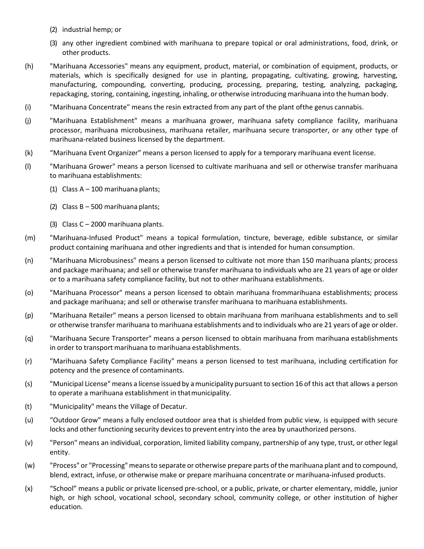- (2) industrial hemp; or
- (3) any other ingredient combined with marihuana to prepare topical or oral administrations, food, drink, or other products.
- (h) "Marihuana Accessories" means any equipment, product, material, or combination of equipment, products, or materials, which is specifically designed for use in planting, propagating, cultivating, growing, harvesting, manufacturing, compounding, converting, producing, processing, preparing, testing, analyzing, packaging, repackaging, storing, containing, ingesting, inhaling, or otherwise introducing marihuana into the human body.
- (i) "Marihuana Concentrate" means the resin extracted from any part of the plant ofthe genus cannabis.
- (j) "Marihuana Establishment" means a marihuana grower, marihuana safety compliance facility, marihuana processor, marihuana microbusiness, marihuana retailer, marihuana secure transporter, or any other type of marihuana-related business licensed by the department.
- (k) "Marihuana Event Organizer" means a person licensed to apply for a temporary marihuana event license.
- (l) "Marihuana Grower" means a person licensed to cultivate marihuana and sell or otherwise transfer marihuana to marihuana establishments:
	- (1) Class A 100 marihuana plants;
	- (2) Class B 500 marihuana plants;
	- (3) Class C 2000 marihuana plants.
- (m) "Marihuana-Infused Product" means a topical formulation, tincture, beverage, edible substance, or similar product containing marihuana and other ingredients and that is intended for human consumption.
- (n) "Marihuana Microbusiness" means a person licensed to cultivate not more than 150 marihuana plants; process and package marihuana; and sell or otherwise transfer marihuana to individuals who are 21 years of age or older or to a marihuana safety compliance facility, but not to other marihuana establishments.
- (o) "Marihuana Processor" means a person licensed to obtain marihuana frommarihuana establishments; process and package marihuana; and sell or otherwise transfer marihuana to marihuana establishments.
- (p) "Marihuana Retailer" means a person licensed to obtain marihuana from marihuana establishments and to sell or otherwise transfer marihuana to marihuana establishments and to individuals who are 21 years of age or older.
- (q) "Marihuana Secure Transporter" means a person licensed to obtain marihuana from marihuana establishments in order to transport marihuana to marihuana establishments.
- (r) "Marihuana Safety Compliance Facility" means a person licensed to test marihuana, including certification for potency and the presence of contaminants.
- (s) "Municipal License" means a license issued by amunicipality pursuant to section 16 of this act that allows a person to operate a marihuana establishment in thatmunicipality.
- (t) "Municipality" means the Village of Decatur.
- (u) "Outdoor Grow" means a fully enclosed outdoor area that is shielded from public view, is equipped with secure locks and other functioning security devices to prevent entry into the area by unauthorized persons.
- (v) "Person" means an individual, corporation, limited liability company, partnership of any type, trust, or other legal entity.
- (w) "Process" or "Processing" means to separate or otherwise prepare parts of the marihuana plant and to compound, blend, extract, infuse, or otherwise make or prepare marihuana concentrate or marihuana-infused products.
- (x) "School" means a public or private licensed pre-school, or a public, private, or charter elementary, middle, junior high, or high school, vocational school, secondary school, community college, or other institution of higher education.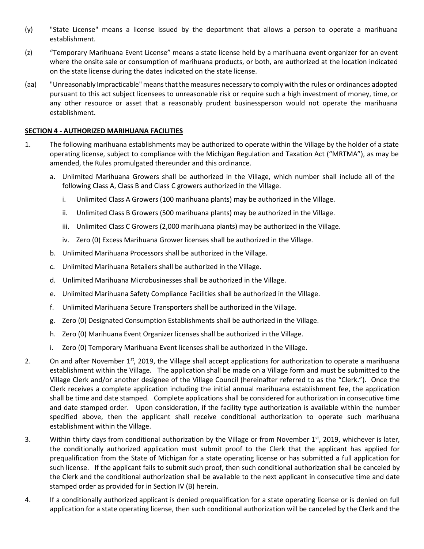- (y) "State License" means a license issued by the department that allows a person to operate a marihuana establishment.
- (z) "Temporary Marihuana Event License" means a state license held by a marihuana event organizer for an event where the onsite sale or consumption of marihuana products, or both, are authorized at the location indicated on the state license during the dates indicated on the state license.
- (aa) "Unreasonably Impracticable"meansthatthemeasures necessary to comply with the rules or ordinances adopted pursuant to this act subject licensees to unreasonable risk or require such a high investment of money, time, or any other resource or asset that a reasonably prudent businessperson would not operate the marihuana establishment.

# **SECTION 4 - AUTHORIZED MARIHUANA FACILITIES**

- 1. The following marihuana establishments may be authorized to operate within the Village by the holder of a state operating license, subject to compliance with the Michigan Regulation and Taxation Act ("MRTMA"), as may be amended, the Rules promulgated thereunder and this ordinance.
	- a. Unlimited Marihuana Growers shall be authorized in the Village, which number shall include all of the following Class A, Class B and Class C growers authorized in the Village.
		- i. Unlimited Class A Growers (100 marihuana plants) may be authorized in the Village.
		- ii. Unlimited Class B Growers (500 marihuana plants) may be authorized in the Village.
		- iii. Unlimited Class C Growers (2,000 marihuana plants) may be authorized in the Village.
		- iv. Zero (0) Excess Marihuana Grower licenses shall be authorized in the Village.
	- b. Unlimited Marihuana Processors shall be authorized in the Village.
	- c. Unlimited Marihuana Retailers shall be authorized in the Village.
	- d. Unlimited Marihuana Microbusinesses shall be authorized in the Village.
	- e. Unlimited Marihuana Safety Compliance Facilities shall be authorized in the Village.
	- f. Unlimited Marihuana Secure Transporters shall be authorized in the Village.
	- g. Zero (0) Designated Consumption Establishments shall be authorized in the Village.
	- h. Zero (0) Marihuana Event Organizer licenses shall be authorized in the Village.
	- i. Zero (0) Temporary Marihuana Event licenses shall be authorized in the Village.
- 2. On and after November  $1<sup>st</sup>$ , 2019, the Village shall accept applications for authorization to operate a marihuana establishment within the Village. The application shall be made on a Village form and must be submitted to the Village Clerk and/or another designee of the Village Council (hereinafter referred to as the "Clerk."). Once the Clerk receives a complete application including the initial annual marihuana establishment fee, the application shall be time and date stamped. Complete applications shall be considered for authorization in consecutive time and date stamped order. Upon consideration, if the facility type authorization is available within the number specified above, then the applicant shall receive conditional authorization to operate such marihuana establishment within the Village.
- 3. Within thirty days from conditional authorization by the Village or from November  $1<sup>st</sup>$ , 2019, whichever is later, the conditionally authorized application must submit proof to the Clerk that the applicant has applied for prequalification from the State of Michigan for a state operating license or has submitted a full application for such license. If the applicant fails to submit such proof, then such conditional authorization shall be canceled by the Clerk and the conditional authorization shall be available to the next applicant in consecutive time and date stamped order as provided for in Section IV (B) herein.
- 4. If a conditionally authorized applicant is denied prequalification for a state operating license or is denied on full application for a state operating license, then such conditional authorization will be canceled by the Clerk and the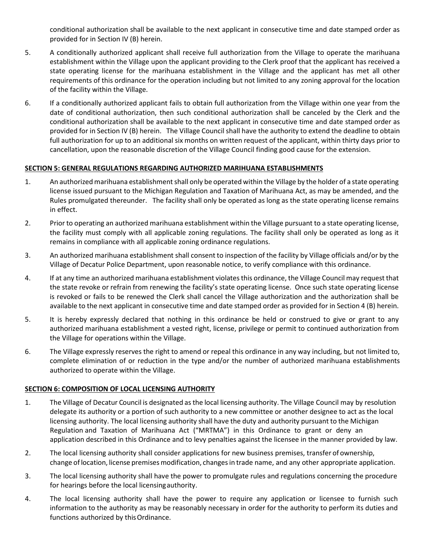conditional authorization shall be available to the next applicant in consecutive time and date stamped order as provided for in Section IV (B) herein.

- 5. A conditionally authorized applicant shall receive full authorization from the Village to operate the marihuana establishment within the Village upon the applicant providing to the Clerk proof that the applicant has received a state operating license for the marihuana establishment in the Village and the applicant has met all other requirements of this ordinance for the operation including but not limited to any zoning approval for the location of the facility within the Village.
- 6. If a conditionally authorized applicant fails to obtain full authorization from the Village within one year from the date of conditional authorization, then such conditional authorization shall be canceled by the Clerk and the conditional authorization shall be available to the next applicant in consecutive time and date stamped order as provided for in Section IV (B) herein. The Village Council shall have the authority to extend the deadline to obtain full authorization for up to an additional six months on written request of the applicant, within thirty days prior to cancellation, upon the reasonable discretion of the Village Council finding good cause for the extension.

# **SECTION 5: GENERAL REGULATIONS REGARDING AUTHORIZED MARIHUANA ESTABLISHMENTS**

- 1. An authorized marihuana establishment shall only be operated within the Village by the holder of a state operating license issued pursuant to the Michigan Regulation and Taxation of Marihuana Act, as may be amended, and the Rules promulgated thereunder. The facility shall only be operated as long as the state operating license remains in effect.
- 2. Prior to operating an authorized marihuana establishment within the Village pursuant to a state operating license, the facility must comply with all applicable zoning regulations. The facility shall only be operated as long as it remains in compliance with all applicable zoning ordinance regulations.
- 3. An authorized marihuana establishment shall consent to inspection of the facility by Village officials and/or by the Village of Decatur Police Department, upon reasonable notice, to verify compliance with this ordinance.
- 4. If at any time an authorized marihuana establishment violates this ordinance, the Village Council may request that the state revoke or refrain from renewing the facility's state operating license. Once such state operating license is revoked or fails to be renewed the Clerk shall cancel the Village authorization and the authorization shall be available to the next applicant in consecutive time and date stamped order as provided for in Section 4 (B) herein.
- 5. It is hereby expressly declared that nothing in this ordinance be held or construed to give or grant to any authorized marihuana establishment a vested right, license, privilege or permit to continued authorization from the Village for operations within the Village.
- 6. The Village expressly reserves the right to amend or repeal this ordinance in any way including, but not limited to, complete elimination of or reduction in the type and/or the number of authorized marihuana establishments authorized to operate within the Village.

# **SECTION 6: COMPOSITION OF LOCAL LICENSING AUTHORITY**

- 1. The Village of Decatur Council is designated as the local licensing authority. The Village Council may by resolution delegate its authority or a portion of such authority to a new committee or another designee to act as the local licensing authority. The local licensing authority shall have the duty and authority pursuant to the Michigan Regulation and Taxation of Marihuana Act ("MRTMA") in this Ordinance to grant or deny an application described in this Ordinance and to levy penalties against the licensee in the manner provided by law.
- 2. The local licensing authority shall consider applications for new business premises, transfer of ownership, change of location, license premises modification, changes in trade name, and any other appropriate application.
- 3. The local licensing authority shall have the power to promulgate rules and regulations concerning the procedure for hearings before the local licensingauthority.
- 4. The local licensing authority shall have the power to require any application or licensee to furnish such information to the authority as may be reasonably necessary in order for the authority to perform its duties and functions authorized by this Ordinance.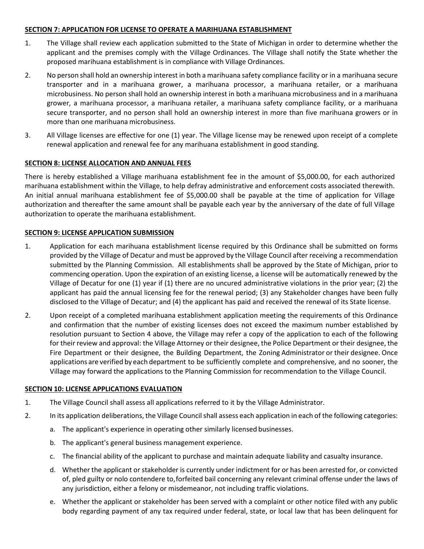# **SECTION 7: APPLICATION FOR LICENSE TO OPERATE A MARIHUANA ESTABLISHMENT**

- 1. The Village shall review each application submitted to the State of Michigan in order to determine whether the applicant and the premises comply with the Village Ordinances. The Village shall notify the State whether the proposed marihuana establishment is in compliance with Village Ordinances.
- 2. No person shall hold an ownership interest in both a marihuana safety compliance facility or in a marihuana secure transporter and in a marihuana grower, a marihuana processor, a marihuana retailer, or a marihuana microbusiness. No person shall hold an ownership interest in both a marihuana microbusiness and in a marihuana grower, a marihuana processor, a marihuana retailer, a marihuana safety compliance facility, or a marihuana secure transporter, and no person shall hold an ownership interest in more than five marihuana growers or in more than one marihuana microbusiness.
- 3. All Village licenses are effective for one (1) year. The Village license may be renewed upon receipt of a complete renewal application and renewal fee for any marihuana establishment in good standing.

# **SECTION 8: LICENSE ALLOCATION AND ANNUAL FEES**

There is hereby established a Village marihuana establishment fee in the amount of \$5,000.00, for each authorized marihuana establishment within the Village, to help defray administrative and enforcement costs associated therewith. An initial annual marihuana establishment fee of \$5,000.00 shall be payable at the time of application for Village authorization and thereafter the same amount shall be payable each year by the anniversary of the date of full Village authorization to operate the marihuana establishment.

# **SECTION 9: LICENSE APPLICATION SUBMISSION**

- 1. Application for each marihuana establishment license required by this Ordinance shall be submitted on forms provided by the Village of Decatur and must be approved by the Village Council after receiving a recommendation submitted by the Planning Commission. All establishments shall be approved by the State of Michigan, prior to commencing operation. Upon the expiration of an existing license, a license will be automatically renewed by the Village of Decatur for one (1) year if (1) there are no uncured administrative violations in the prior year; (2) the applicant has paid the annual licensing fee for the renewal period; (3) any Stakeholder changes have been fully disclosed to the Village of Decatur; and (4) the applicant has paid and received the renewal of its State license.
- 2. Upon receipt of a completed marihuana establishment application meeting the requirements of this Ordinance and confirmation that the number of existing licenses does not exceed the maximum number established by resolution pursuant to Section 4 above, the Village may refer a copy of the application to each of the following for their review and approval: the Village Attorney or their designee, the Police Department or their designee, the Fire Department or their designee, the Building Department, the Zoning Administrator or their designee. Once applications are verified by each department to be sufficiently complete and comprehensive, and no sooner, the Village may forward the applications to the Planning Commission for recommendation to the Village Council.

# **SECTION 10: LICENSE APPLICATIONS EVALUATION**

- 1. The Village Council shall assess all applications referred to it by the Village Administrator.
- 2. In its application deliberations, the Village Council shall assess each application in each of the following categories:
	- a. The applicant's experience in operating other similarly licensed businesses.
	- b. The applicant's general business management experience.
	- c. The financial ability of the applicant to purchase and maintain adequate liability and casualty insurance.
	- d. Whether the applicant or stakeholder is currently under indictment for or has been arrested for, or convicted of, pled guilty or nolo contendere to,forfeited bail concerning any relevant criminal offense under the laws of any jurisdiction, either a felony or misdemeanor, not including traffic violations.
	- e. Whether the applicant or stakeholder has been served with a complaint or other notice filed with any public body regarding payment of any tax required under federal, state, or local law that has been delinquent for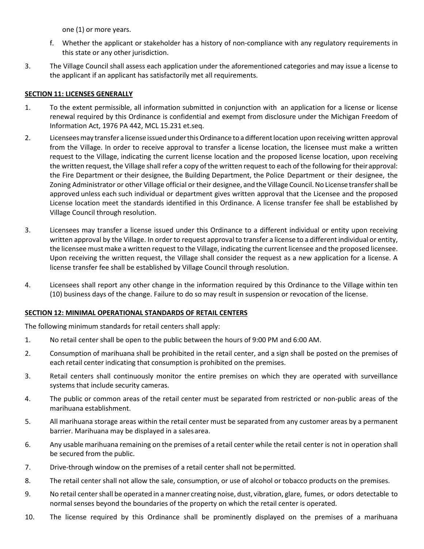one (1) or more years.

- f. Whether the applicant or stakeholder has a history of non-compliance with any regulatory requirements in this state or any other jurisdiction.
- 3. The Village Council shall assess each application under the aforementioned categories and may issue a license to the applicant if an applicant has satisfactorily met all requirements.

# **SECTION 11: LICENSES GENERALLY**

- 1. To the extent permissible, all information submitted in conjunction with an application for a license or license renewal required by this Ordinance is confidential and exempt from disclosure under the Michigan Freedom of Information Act, 1976 PA 442, MCL 15.231 et.seq.
- 2. Licensees may transfer a license issued under this Ordinance to a different location upon receiving written approval from the Village. In order to receive approval to transfer a license location, the licensee must make a written request to the Village, indicating the current license location and the proposed license location, upon receiving the written request, the Village shall refer a copy of the written request to each of the following for theirapproval: the Fire Department or their designee, the Building Department, the Police Department or their designee, the Zoning Administrator or other Village official or their designee, and the Village Council.No License transfershall be approved unless each such individual or department gives written approval that the Licensee and the proposed License location meet the standards identified in this Ordinance. A license transfer fee shall be established by Village Council through resolution.
- 3. Licensees may transfer a license issued under this Ordinance to a different individual or entity upon receiving written approval by the Village. In order to request approval to transfer a license to a different individual or entity, the licensee mustmake a written request to the Village, indicating the current licensee and the proposed licensee. Upon receiving the written request, the Village shall consider the request as a new application for a license. A license transfer fee shall be established by Village Council through resolution.
- 4. Licensees shall report any other change in the information required by this Ordinance to the Village within ten (10) business days of the change. Failure to do so may result in suspension or revocation of the license.

# **SECTION 12: MINIMAL OPERATIONAL STANDARDS OF RETAIL CENTERS**

The following minimum standards for retail centers shall apply:

- 1. No retail center shall be open to the public between the hours of 9:00 PM and 6:00 AM.
- 2. Consumption of marihuana shall be prohibited in the retail center, and a sign shall be posted on the premises of each retail center indicating that consumption is prohibited on the premises.
- 3. Retail centers shall continuously monitor the entire premises on which they are operated with surveillance systems that include security cameras.
- 4. The public or common areas of the retail center must be separated from restricted or non-public areas of the marihuana establishment.
- 5. All marihuana storage areas within the retail center must be separated from any customer areas by a permanent barrier. Marihuana may be displayed in a salesarea.
- 6. Any usable marihuana remaining on the premises of a retail center while the retail center is not in operation shall be secured from the public.
- 7. Drive-through window on the premises of a retail center shall not bepermitted.
- 8. The retail center shall not allow the sale, consumption, or use of alcohol or tobacco products on the premises.
- 9. No retail centershall be operated in a manner creating noise, dust, vibration, glare, fumes, or odors detectable to normal senses beyond the boundaries of the property on which the retail center is operated.
- 10. The license required by this Ordinance shall be prominently displayed on the premises of a marihuana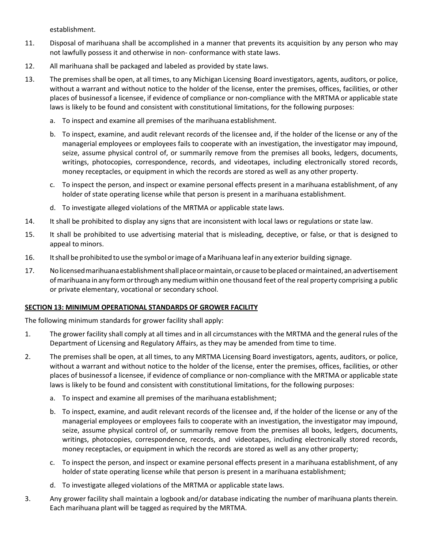establishment.

- 11. Disposal of marihuana shall be accomplished in a manner that prevents its acquisition by any person who may not lawfully possess it and otherwise in non- conformance with state laws.
- 12. All marihuana shall be packaged and labeled as provided by state laws.
- 13. The premises shall be open, at all times, to any Michigan Licensing Board investigators, agents, auditors, or police, without a warrant and without notice to the holder of the license, enter the premises, offices, facilities, or other places of businessof a licensee, if evidence of compliance or non-compliance with the MRTMA or applicable state laws is likely to be found and consistent with constitutional limitations, for the following purposes:
	- a. To inspect and examine all premises of the marihuana establishment.
	- b. To inspect, examine, and audit relevant records of the licensee and, if the holder of the license or any of the managerial employees or employees fails to cooperate with an investigation, the investigator may impound, seize, assume physical control of, or summarily remove from the premises all books, ledgers, documents, writings, photocopies, correspondence, records, and videotapes, including electronically stored records, money receptacles, or equipment in which the records are stored as well as any other property.
	- c. To inspect the person, and inspect or examine personal effects present in a marihuana establishment, of any holder of state operating license while that person is present in a marihuana establishment.
	- d. To investigate alleged violations of the MRTMA or applicable state laws.
- 14. It shall be prohibited to display any signs that are inconsistent with local laws or regulations or state law.
- 15. It shall be prohibited to use advertising material that is misleading, deceptive, or false, or that is designed to appeal to minors.
- 16. Itshall be prohibited to use the symbol orimage of aMarihuana leafin any exterior building signage.
- 17. Nolicensedmarihuanaestablishmentshallplaceormaintain,or causetobeplaced ormaintained, anadvertisement ofmarihuana in any formorthrough anymediumwithin one thousand feet of the real property comprising a public or private elementary, vocational or secondary school.

# **SECTION 13: MINIMUM OPERATIONAL STANDARDS OF GROWER FACILITY**

The following minimum standards for grower facility shall apply:

- 1. The grower facility shall comply at all times and in all circumstances with the MRTMA and the general rules of the Department of Licensing and Regulatory Affairs, as they may be amended from time to time.
- 2. The premises shall be open, at all times, to any MRTMA Licensing Board investigators, agents, auditors, or police, without a warrant and without notice to the holder of the license, enter the premises, offices, facilities, or other places of businessof a licensee, if evidence of compliance or non-compliance with the MRTMA or applicable state laws is likely to be found and consistent with constitutional limitations, for the following purposes:
	- a. To inspect and examine all premises of the marihuana establishment;
	- b. To inspect, examine, and audit relevant records of the licensee and, if the holder of the license or any of the managerial employees or employees fails to cooperate with an investigation, the investigator may impound, seize, assume physical control of, or summarily remove from the premises all books, ledgers, documents, writings, photocopies, correspondence, records, and videotapes, including electronically stored records, money receptacles, or equipment in which the records are stored as well as any other property;
	- c. To inspect the person, and inspect or examine personal effects present in a marihuana establishment, of any holder of state operating license while that person is present in a marihuana establishment;
	- d. To investigate alleged violations of the MRTMA or applicable state laws.
- 3. Any grower facility shall maintain a logbook and/or database indicating the number of marihuana plants therein. Each marihuana plant will be tagged as required by the MRTMA.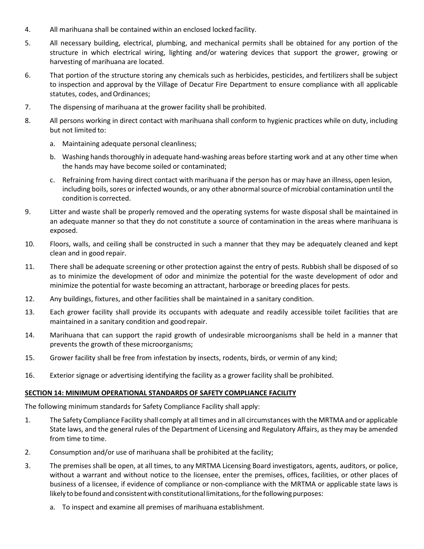- 4. All marihuana shall be contained within an enclosed locked facility.
- 5. All necessary building, electrical, plumbing, and mechanical permits shall be obtained for any portion of the structure in which electrical wiring, lighting and/or watering devices that support the grower, growing or harvesting of marihuana are located.
- 6. That portion of the structure storing any chemicals such as herbicides, pesticides, and fertilizers shall be subject to inspection and approval by the Village of Decatur Fire Department to ensure compliance with all applicable statutes, codes, and Ordinances;
- 7. The dispensing of marihuana at the grower facility shall be prohibited.
- 8. All persons working in direct contact with marihuana shall conform to hygienic practices while on duty, including but not limited to:
	- a. Maintaining adequate personal cleanliness;
	- b. Washing hands thoroughly in adequate hand-washing areas before starting work and at any other time when the hands may have become soiled or contaminated;
	- c. Refraining from having direct contact with marihuana if the person has or may have an illness, open lesion, including boils, sores or infected wounds, or any other abnormalsource of microbial contamination until the condition is corrected.
- 9. Litter and waste shall be properly removed and the operating systems for waste disposal shall be maintained in an adequate manner so that they do not constitute a source of contamination in the areas where marihuana is exposed.
- 10. Floors, walls, and ceiling shall be constructed in such a manner that they may be adequately cleaned and kept clean and in good repair.
- 11. There shall be adequate screening or other protection against the entry of pests. Rubbish shall be disposed of so as to minimize the development of odor and minimize the potential for the waste development of odor and minimize the potential for waste becoming an attractant, harborage or breeding places for pests.
- 12. Any buildings, fixtures, and other facilities shall be maintained in a sanitary condition.
- 13. Each grower facility shall provide its occupants with adequate and readily accessible toilet facilities that are maintained in a sanitary condition and goodrepair.
- 14. Marihuana that can support the rapid growth of undesirable microorganisms shall be held in a manner that prevents the growth of these microorganisms;
- 15. Grower facility shall be free from infestation by insects, rodents, birds, or vermin of any kind;
- 16. Exterior signage or advertising identifying the facility as a grower facility shall be prohibited.

# **SECTION 14: MINIMUM OPERATIONAL STANDARDS OF SAFETY COMPLIANCE FACILITY**

The following minimum standards for Safety Compliance Facility shall apply:

- 1. The Safety Compliance Facility shall comply at all times and in all circumstances with the MRTMA and or applicable State laws, and the general rules of the Department of Licensing and Regulatory Affairs, as they may be amended from time to time.
- 2. Consumption and/or use of marihuana shall be prohibited at the facility;
- 3. The premises shall be open, at all times, to any MRTMA Licensing Board investigators, agents, auditors, or police, without a warrant and without notice to the licensee, enter the premises, offices, facilities, or other places of business of a licensee, if evidence of compliance or non-compliance with the MRTMA or applicable state laws is likely to be found and consistent with constitutional limitations, for the following purposes:
	- a. To inspect and examine all premises of marihuana establishment.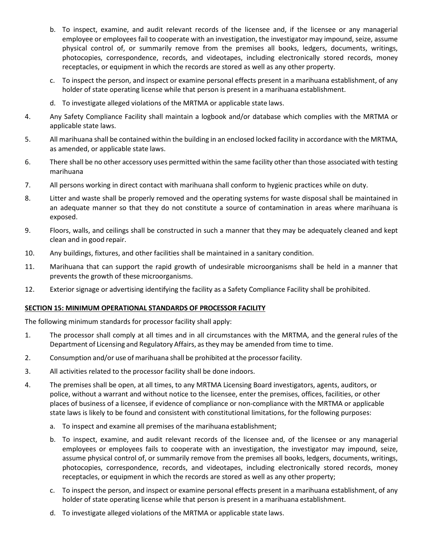- b. To inspect, examine, and audit relevant records of the licensee and, if the licensee or any managerial employee or employees fail to cooperate with an investigation, the investigator may impound, seize, assume physical control of, or summarily remove from the premises all books, ledgers, documents, writings, photocopies, correspondence, records, and videotapes, including electronically stored records, money receptacles, or equipment in which the records are stored as well as any other property.
- c. To inspect the person, and inspect or examine personal effects present in a marihuana establishment, of any holder of state operating license while that person is present in a marihuana establishment.
- d. To investigate alleged violations of the MRTMA or applicable state laws.
- 4. Any Safety Compliance Facility shall maintain a logbook and/or database which complies with the MRTMA or applicable state laws.
- 5. All marihuana shall be contained within the building in an enclosed locked facility in accordance with the MRTMA, as amended, or applicable state laws.
- 6. There shall be no other accessory uses permitted within the same facility other than those associated with testing marihuana
- 7. All persons working in direct contact with marihuana shall conform to hygienic practices while on duty.
- 8. Litter and waste shall be properly removed and the operating systems for waste disposal shall be maintained in an adequate manner so that they do not constitute a source of contamination in areas where marihuana is exposed.
- 9. Floors, walls, and ceilings shall be constructed in such a manner that they may be adequately cleaned and kept clean and in good repair.
- 10. Any buildings, fixtures, and other facilities shall be maintained in a sanitary condition.
- 11. Marihuana that can support the rapid growth of undesirable microorganisms shall be held in a manner that prevents the growth of these microorganisms.
- 12. Exterior signage or advertising identifying the facility as a Safety Compliance Facility shall be prohibited.

# **SECTION 15: MINIMUM OPERATIONAL STANDARDS OF PROCESSOR FACILITY**

The following minimum standards for processor facility shall apply:

- 1. The processor shall comply at all times and in all circumstances with the MRTMA, and the general rules of the Department of Licensing and Regulatory Affairs, asthey may be amended from time to time.
- 2. Consumption and/or use of marihuana shall be prohibited at the processorfacility.
- 3. All activities related to the processor facility shall be done indoors.
- 4. The premises shall be open, at all times, to any MRTMA Licensing Board investigators, agents, auditors, or police, without a warrant and without notice to the licensee, enter the premises, offices, facilities, or other places of business of a licensee, if evidence of compliance or non-compliance with the MRTMA or applicable state laws is likely to be found and consistent with constitutional limitations, for the following purposes:
	- a. To inspect and examine all premises of the marihuana establishment;
	- b. To inspect, examine, and audit relevant records of the licensee and, of the licensee or any managerial employees or employees fails to cooperate with an investigation, the investigator may impound, seize, assume physical control of, or summarily remove from the premises all books, ledgers, documents, writings, photocopies, correspondence, records, and videotapes, including electronically stored records, money receptacles, or equipment in which the records are stored as well as any other property;
	- c. To inspect the person, and inspect or examine personal effects present in a marihuana establishment, of any holder of state operating license while that person is present in a marihuana establishment.
	- d. To investigate alleged violations of the MRTMA or applicable state laws.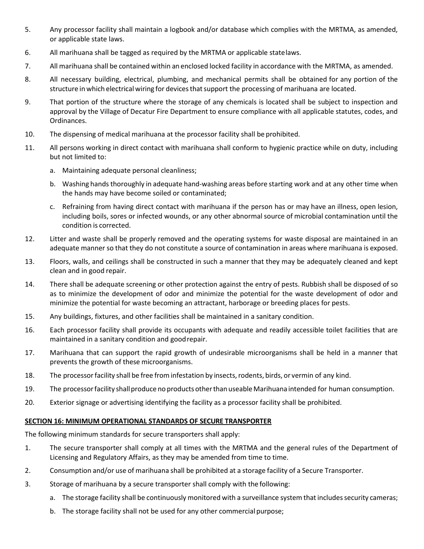- 5. Any processor facility shall maintain a logbook and/or database which complies with the MRTMA, as amended, or applicable state laws.
- 6. All marihuana shall be tagged as required by the MRTMA or applicable statelaws.
- 7. All marihuana shall be contained within an enclosed locked facility in accordance with the MRTMA, as amended.
- 8. All necessary building, electrical, plumbing, and mechanical permits shall be obtained for any portion of the structure in which electrical wiring for devices that support the processing of marihuana are located.
- 9. That portion of the structure where the storage of any chemicals is located shall be subject to inspection and approval by the Village of Decatur Fire Department to ensure compliance with all applicable statutes, codes, and Ordinances.
- 10. The dispensing of medical marihuana at the processor facility shall be prohibited.
- 11. All persons working in direct contact with marihuana shall conform to hygienic practice while on duty, including but not limited to:
	- a. Maintaining adequate personal cleanliness;
	- b. Washing hands thoroughly in adequate hand-washing areas before starting work and at any other time when the hands may have become soiled or contaminated;
	- c. Refraining from having direct contact with marihuana if the person has or may have an illness, open lesion, including boils, sores or infected wounds, or any other abnormal source of microbial contamination until the condition is corrected.
- 12. Litter and waste shall be properly removed and the operating systems for waste disposal are maintained in an adequate manner so that they do not constitute a source of contamination in areas where marihuana is exposed.
- 13. Floors, walls, and ceilings shall be constructed in such a manner that they may be adequately cleaned and kept clean and in good repair.
- 14. There shall be adequate screening or other protection against the entry of pests. Rubbish shall be disposed of so as to minimize the development of odor and minimize the potential for the waste development of odor and minimize the potential for waste becoming an attractant, harborage or breeding places for pests.
- 15. Any buildings, fixtures, and other facilities shall be maintained in a sanitary condition.
- 16. Each processor facility shall provide its occupants with adequate and readily accessible toilet facilities that are maintained in a sanitary condition and goodrepair.
- 17. Marihuana that can support the rapid growth of undesirable microorganisms shall be held in a manner that prevents the growth of these microorganisms.
- 18. The processor facility shall be free from infestation by insects, rodents, birds, or vermin of any kind.
- 19. The processorfacility shallproduce no productsotherthan useableMarihuana intended for human consumption.
- 20. Exterior signage or advertising identifying the facility as a processor facility shall be prohibited.

# **SECTION 16: MINIMUM OPERATIONAL STANDARDS OF SECURE TRANSPORTER**

The following minimum standards for secure transporters shall apply:

- 1. The secure transporter shall comply at all times with the MRTMA and the general rules of the Department of Licensing and Regulatory Affairs, as they may be amended from time to time.
- 2. Consumption and/or use of marihuana shall be prohibited at a storage facility of a Secure Transporter.
- 3. Storage of marihuana by a secure transporter shall comply with the following:
	- a. The storage facility shall be continuously monitored with a surveillance system that includes security cameras;
	- b. The storage facility shall not be used for any other commercial purpose;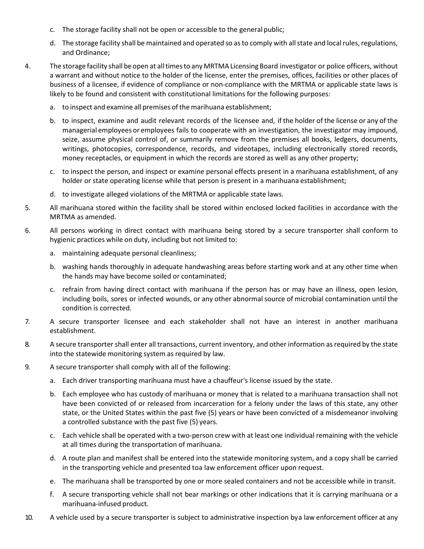- c. The storage facility shall not be open or accessible to the general public;
- d. The storage facility shall be maintained and operated so as to comply with all state and local rules, regulations, and Ordinance;
- 4. The storage facility shall be open at alltimesto any MRTMA Licensing Board investigator or police officers, without a warrant and without notice to the holder of the license, enter the premises, offices, facilities or other places of business of a licensee, if evidence of compliance or non-compliance with the MRTMA or applicable state laws is likely to be found and consistent with constitutional limitations for the following purposes:
	- a. to inspect and examine all premises of the marihuana establishment;
	- b. to inspect, examine and audit relevant records of the licensee and, if the holder of the license or any of the managerial employees or employees fails to cooperate with an investigation, the investigator may impound, seize, assume physical control of, or summarily remove from the premises all books, ledgers, documents, writings, photocopies, correspondence, records, and videotapes, including electronically stored records, money receptacles, or equipment in which the records are stored as well as any other property;
	- c. to inspect the person, and inspect or examine personal effects present in a marihuana establishment, of any holder or state operating license while that person is present in a marihuana establishment;
	- d. to investigate alleged violations of the MRTMA or applicable state laws.
- 5. All marihuana stored within the facility shall be stored within enclosed locked facilities in accordance with the MRTMA as amended.
- 6. All persons working in direct contact with marihuana being stored by a secure transporter shall conform to hygienic practices while on duty, including but not limited to:
	- a. maintaining adequate personal cleanliness;
	- b. washing hands thoroughly in adequate handwashing areas before starting work and at any other time when the hands may have become soiled or contaminated;
	- c. refrain from having direct contact with marihuana if the person has or may have an illness, open lesion, including boils, sores or infected wounds, or any other abnormalsource of microbial contamination until the condition is corrected.
- 7. A secure transporter licensee and each stakeholder shall not have an interest in another marihuana establishment.
- 8. A secure transporter shall enter all transactions, current inventory, and other information as required by the state into the statewide monitoring system as required by law.
- 9. A secure transporter shall comply with all of the following:
	- a. Each driver transporting marihuana must have a chauffeur's license issued by the state.
	- b. Each employee who has custody of marihuana or money that is related to a marihuana transaction shall not have been convicted of or released from incarceration for a felony under the laws of this state, any other state, or the United States within the past five (5) years or have been convicted of a misdemeanor involving a controlled substance with the past five (5) years.
	- c. Each vehicle shall be operated with a two-person crew with at least one individual remaining with the vehicle at all times during the transportation of marihuana.
	- d. A route plan and manifest shall be entered into the statewide monitoring system, and a copy shall be carried in the transporting vehicle and presented toa law enforcement officer upon request.
	- e. The marihuana shall be transported by one or more sealed containers and not be accessible while in transit.
	- f. A secure transporting vehicle shall not bear markings or other indications that it is carrying marihuana or a marihuana-infused product.
- 10. A vehicle used by a secure transporter is subject to administrative inspection bya law enforcement officer at any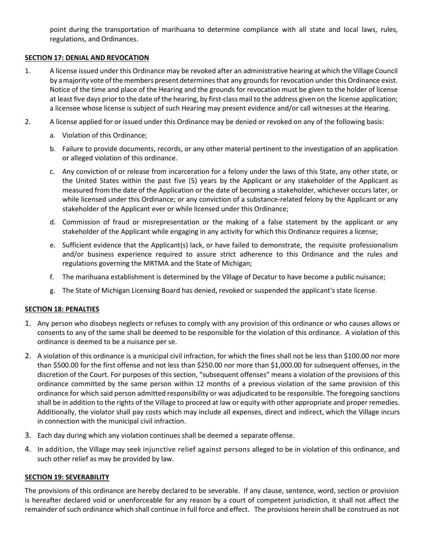point during the transportation of marihuana to determine compliance with all state and local laws, rules, regulations, and Ordinances.

# **SECTION 17: DENIAL AND REVOCATION**

- 1. A license issued under this Ordinance may be revoked after an administrative hearing at which the Village Council by a majority vote of the members present determines that any grounds for revocation under this Ordinance exist. Notice of the time and place of the Hearing and the grounds for revocation must be given to the holder of license at least five days prior to the date of the hearing, by first-class mail to the address given on the license application; a licensee whose license is subject of such Hearing may present evidence and/or call witnesses at the Hearing.
- 2. A license applied for or issued under this Ordinance may be denied or revoked on any of the following basis:
	- a. Violation of this Ordinance;
	- b. Failure to provide documents, records, or any other material pertinent to the investigation of an application or alleged violation of this ordinance.
	- c. Any conviction of or release from incarceration for a felony under the laws of this State, any other state, or the United States within the past five (5) years by the Applicant or any stakeholder of the Applicant as measured from the date of the Application or the date of becoming a stakeholder, whichever occurs later, or while licensed under this Ordinance; or any conviction of a substance-related felony by the Applicant or any stakeholder of the Applicant ever or while licensed under this Ordinance;
	- d. Commission of fraud or misrepresentation or the making of a false statement by the applicant or any stakeholder of the Applicant while engaging in any activity for which this Ordinance requires a license;
	- e. Sufficient evidence that the Applicant(s) lack, or have failed to demonstrate, the requisite professionalism and/or business experience required to assure strict adherence to this Ordinance and the rules and regulations governing the MRTMA and the State of Michigan;
	- f. The marihuana establishment is determined by the Village of Decatur to have become a public nuisance;
	- g. The State of Michigan Licensing Board has denied, revoked or suspended the applicant's state license.

# **SECTION 18: PENALTIES**

- 1. Any person who disobeys neglects or refuses to comply with any provision of this ordinance or who causes allows or consents to any of the same shall be deemed to be responsible for the violation of this ordinance. A violation of this ordinance is deemed to be a nuisance per se.
- 2. A violation of this ordinance is a municipal civil infraction, for which the fines shall not be less than \$100.00 nor more than \$500.00 for the first offense and not less than \$250.00 nor more than \$1,000.00 for subsequent offenses, in the discretion of the Court. For purposes of this section, "subsequent offenses" means a violation of the provisions of this ordinance committed by the same person within 12 months of a previous violation of the same provision of this ordinance for which said person admitted responsibility or was adjudicated to be responsible. The foregoing sanctions shall be in addition to the rights of the Village to proceed at law or equity with other appropriate and proper remedies. Additionally, the violator shall pay costs which may include all expenses, direct and indirect, which the Village incurs in connection with the municipal civil infraction.
- 3. Each day during which any violation continues shall be deemed a separate offense.
- 4. In addition, the Village may seek injunctive relief against persons alleged to be in violation of this ordinance, and such other relief as may be provided by law.

# **SECTION 19: SEVERABILITY**

The provisions of this ordinance are hereby declared to be severable. If any clause, sentence, word, section or provision is hereafter declared void or unenforceable for any reason by a court of competent jurisdiction, it shall not affect the remainder of such ordinance which shall continue in full force and effect. The provisions herein shall be construed as not